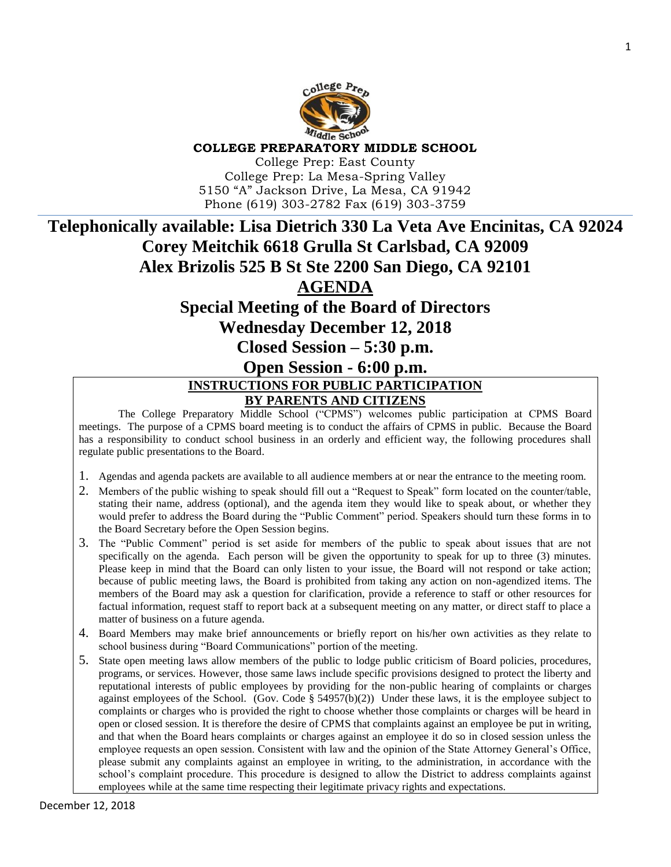

## **COLLEGE PREPARATORY MIDDLE SCHOOL**

College Prep: East County College Prep: La Mesa-Spring Valley 5150 "A" Jackson Drive, La Mesa, CA 91942 Phone (619) 303-2782 Fax (619) 303-3759

# **Telephonically available: Lisa Dietrich 330 La Veta Ave Encinitas, CA 92024 Corey Meitchik 6618 Grulla St Carlsbad, CA 92009 Alex Brizolis 525 B St Ste 2200 San Diego, CA 92101 AGENDA Special Meeting of the Board of Directors**

## **Wednesday December 12, 2018**

## **Closed Session – 5:30 p.m.**

## **Open Session - 6:00 p.m.**

## **INSTRUCTIONS FOR PUBLIC PARTICIPATION BY PARENTS AND CITIZENS**

The College Preparatory Middle School ("CPMS") welcomes public participation at CPMS Board meetings. The purpose of a CPMS board meeting is to conduct the affairs of CPMS in public. Because the Board has a responsibility to conduct school business in an orderly and efficient way, the following procedures shall regulate public presentations to the Board.

- 1. Agendas and agenda packets are available to all audience members at or near the entrance to the meeting room.
- 2. Members of the public wishing to speak should fill out a "Request to Speak" form located on the counter/table, stating their name, address (optional), and the agenda item they would like to speak about, or whether they would prefer to address the Board during the "Public Comment" period. Speakers should turn these forms in to the Board Secretary before the Open Session begins.
- 3. The "Public Comment" period is set aside for members of the public to speak about issues that are not specifically on the agenda. Each person will be given the opportunity to speak for up to three (3) minutes. Please keep in mind that the Board can only listen to your issue, the Board will not respond or take action; because of public meeting laws, the Board is prohibited from taking any action on non-agendized items. The members of the Board may ask a question for clarification, provide a reference to staff or other resources for factual information, request staff to report back at a subsequent meeting on any matter, or direct staff to place a matter of business on a future agenda.
- 4. Board Members may make brief announcements or briefly report on his/her own activities as they relate to school business during "Board Communications" portion of the meeting.
- 5. State open meeting laws allow members of the public to lodge public criticism of Board policies, procedures, programs, or services. However, those same laws include specific provisions designed to protect the liberty and reputational interests of public employees by providing for the non-public hearing of complaints or charges against employees of the School. (Gov. Code  $\S$  54957(b)(2)) Under these laws, it is the employee subject to complaints or charges who is provided the right to choose whether those complaints or charges will be heard in open or closed session. It is therefore the desire of CPMS that complaints against an employee be put in writing, and that when the Board hears complaints or charges against an employee it do so in closed session unless the employee requests an open session. Consistent with law and the opinion of the State Attorney General's Office, please submit any complaints against an employee in writing, to the administration, in accordance with the school's complaint procedure. This procedure is designed to allow the District to address complaints against employees while at the same time respecting their legitimate privacy rights and expectations.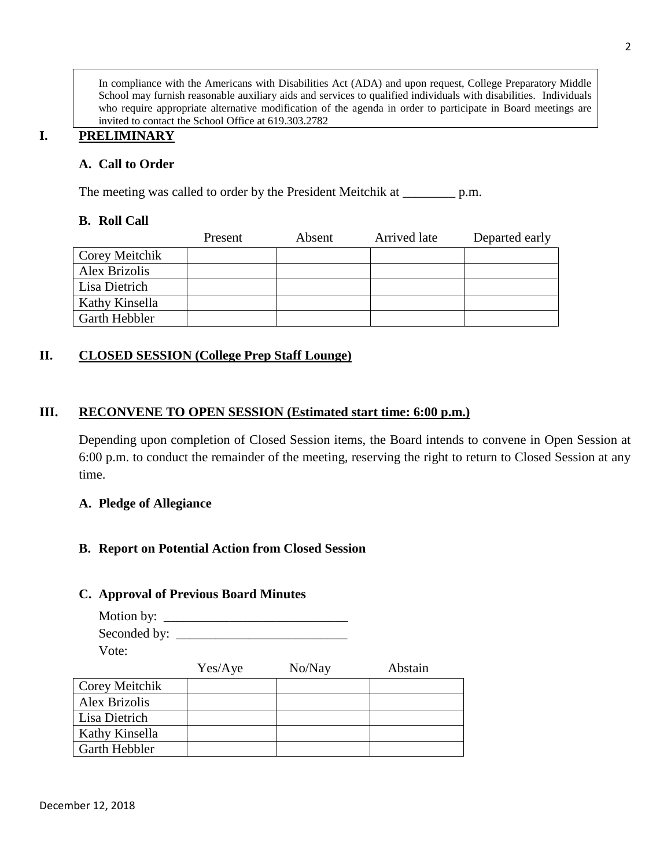In compliance with the Americans with Disabilities Act (ADA) and upon request, College Preparatory Middle School may furnish reasonable auxiliary aids and services to qualified individuals with disabilities. Individuals who require appropriate alternative modification of the agenda in order to participate in Board meetings are invited to contact the School Office at 619.303.2782

## **I. PRELIMINARY**

## **A. Call to Order**

The meeting was called to order by the President Meitchik at \_\_\_\_\_\_\_\_\_\_ p.m.

#### **B. Roll Call**

|                | Present | Absent | Arrived late | Departed early |
|----------------|---------|--------|--------------|----------------|
| Corey Meitchik |         |        |              |                |
| Alex Brizolis  |         |        |              |                |
| Lisa Dietrich  |         |        |              |                |
| Kathy Kinsella |         |        |              |                |
| Garth Hebbler  |         |        |              |                |

## **II. CLOSED SESSION (College Prep Staff Lounge)**

### **III. RECONVENE TO OPEN SESSION (Estimated start time: 6:00 p.m.)**

Depending upon completion of Closed Session items, the Board intends to convene in Open Session at 6:00 p.m. to conduct the remainder of the meeting, reserving the right to return to Closed Session at any time.

#### **A. Pledge of Allegiance**

## **B. Report on Potential Action from Closed Session**

#### **C. Approval of Previous Board Minutes**

| Motion by:   |  |
|--------------|--|
| Seconded by: |  |
| Vote:        |  |

|                      | Yes/Aye | No/Nay | Abstain |
|----------------------|---------|--------|---------|
| Corey Meitchik       |         |        |         |
| Alex Brizolis        |         |        |         |
| Lisa Dietrich        |         |        |         |
| Kathy Kinsella       |         |        |         |
| <b>Garth Hebbler</b> |         |        |         |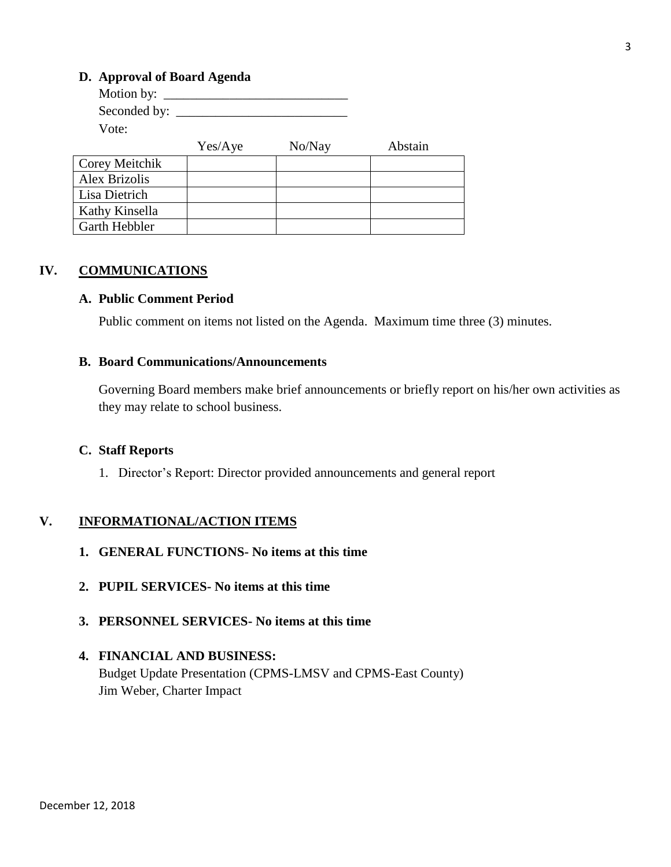## **D. Approval of Board Agenda**

| Motion by: $\_\_$ |         |        |         |
|-------------------|---------|--------|---------|
| Seconded by:      |         |        |         |
| Vote:             |         |        |         |
|                   | Yes/Aye | No/Nay | Abstain |
| Corey Meitchik    |         |        |         |
| Alex Brizolis     |         |        |         |
| Lisa Dietrich     |         |        |         |
| Kathy Kinsella    |         |        |         |
| Garth Hebbler     |         |        |         |

## **IV. COMMUNICATIONS**

#### **A. Public Comment Period**

Public comment on items not listed on the Agenda. Maximum time three (3) minutes.

## **B. Board Communications/Announcements**

Governing Board members make brief announcements or briefly report on his/her own activities as they may relate to school business.

#### **C. Staff Reports**

1. Director's Report: Director provided announcements and general report

## **V. INFORMATIONAL/ACTION ITEMS**

- **1. GENERAL FUNCTIONS- No items at this time**
- **2. PUPIL SERVICES- No items at this time**
- **3. PERSONNEL SERVICES- No items at this time**

## **4. FINANCIAL AND BUSINESS:** Budget Update Presentation (CPMS-LMSV and CPMS-East County) Jim Weber, Charter Impact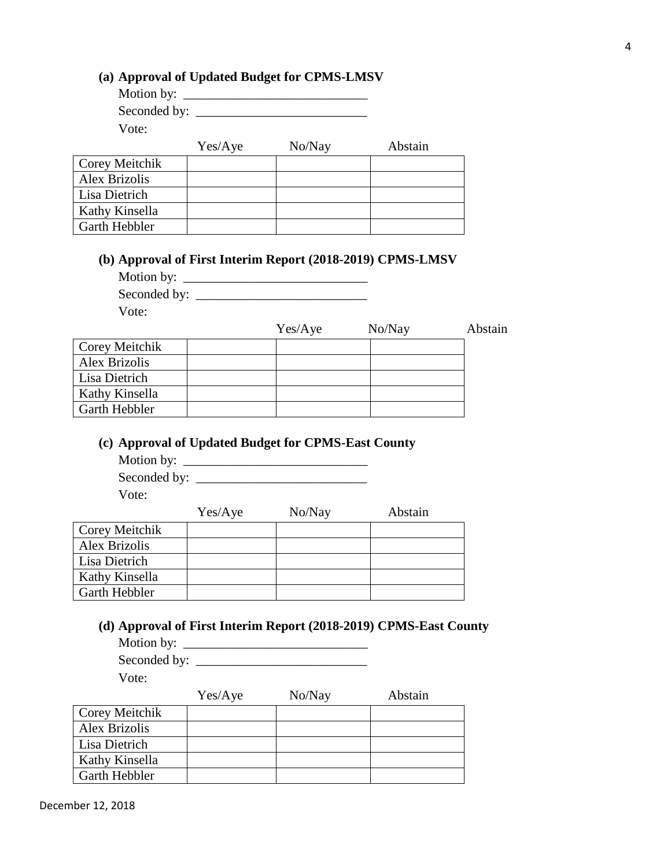## Yes/Aye No/Nay Abstain

|                      | $1 \text{C}$ $1 \text{C}$ | 110/114 | тозиш |
|----------------------|---------------------------|---------|-------|
| Corey Meitchik       |                           |         |       |
| Alex Brizolis        |                           |         |       |
| Lisa Dietrich        |                           |         |       |
| Kathy Kinsella       |                           |         |       |
| <b>Garth Hebbler</b> |                           |         |       |

## **(b) Approval of First Interim Report (2018-2019) CPMS-LMSV**

Motion by:

| Seconded by: |  |
|--------------|--|
|              |  |

**(a) Approval of Updated Budget for CPMS-LMSV** Motion by: \_\_\_\_\_\_\_\_\_\_\_\_\_\_\_\_\_\_\_\_\_\_\_\_\_\_\_\_ Seconded by: \_\_\_\_\_\_\_\_\_\_\_\_\_\_\_\_\_\_\_\_\_\_\_\_\_\_

Vote:

Vote:

|                      | Yes/Aye | No/Nay | Abstain |
|----------------------|---------|--------|---------|
| Corey Meitchik       |         |        |         |
| Alex Brizolis        |         |        |         |
| Lisa Dietrich        |         |        |         |
| Kathy Kinsella       |         |        |         |
| <b>Garth Hebbler</b> |         |        |         |

## **(c) Approval of Updated Budget for CPMS-East County**

Motion by: \_\_\_\_\_\_\_\_\_\_\_\_\_\_\_\_\_\_\_\_\_\_\_\_\_\_\_\_ Seconded by: \_\_\_\_\_\_\_\_\_\_\_\_\_\_\_\_\_\_\_\_\_\_\_\_\_\_ Vote:

|                | Yes/Aye | No/Nay | Abstain |
|----------------|---------|--------|---------|
| Corey Meitchik |         |        |         |
| Alex Brizolis  |         |        |         |
| Lisa Dietrich  |         |        |         |
| Kathy Kinsella |         |        |         |
| Garth Hebbler  |         |        |         |
|                |         |        |         |

# **(d) Approval of First Interim Report (2018-2019) CPMS-East County**

Motion by: \_\_\_\_\_\_\_\_\_\_\_\_\_\_\_\_\_\_\_\_\_\_\_\_\_\_\_\_

Seconded by: \_\_\_\_\_\_\_\_\_\_\_\_\_\_\_\_\_\_\_\_\_\_\_\_\_\_ Vote:

|                      | Yes/Aye | No/Nay | Abstain |
|----------------------|---------|--------|---------|
| Corey Meitchik       |         |        |         |
| <b>Alex Brizolis</b> |         |        |         |
| Lisa Dietrich        |         |        |         |
| Kathy Kinsella       |         |        |         |
| Garth Hebbler        |         |        |         |